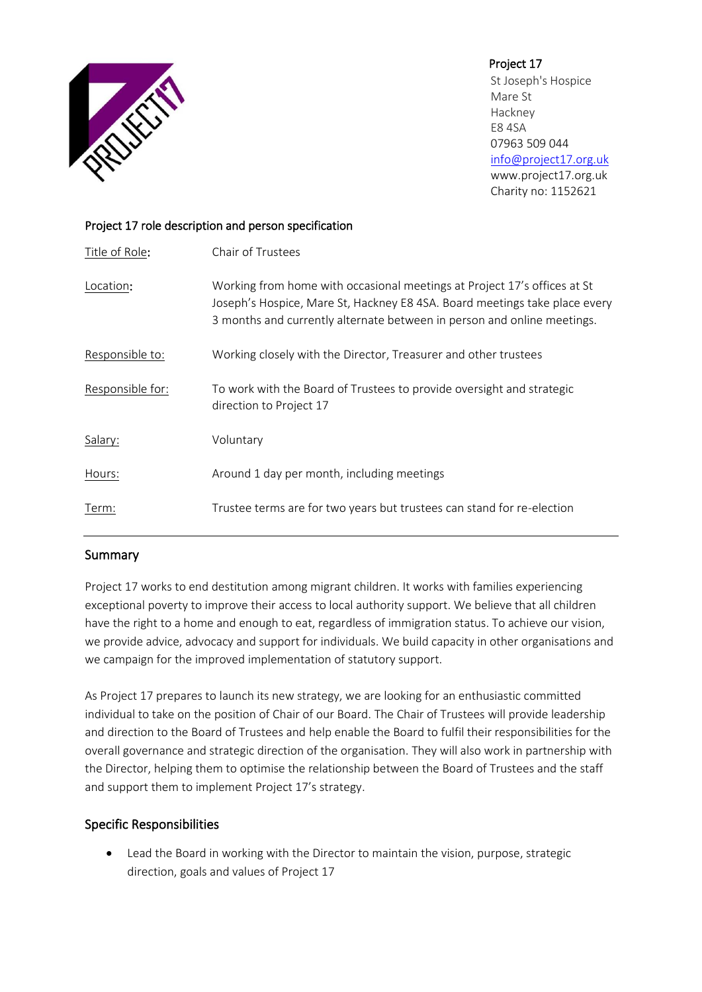

Project 17 St Joseph's Hospice Mare St Hackney E8 4SA 07963 509 044 [info@project17.org.uk](mailto:info@project17.org.uk) [www.project17.org.uk](http://www.project17.org.uk/) Charity no: 1152621

## Project 17 role description and person specification

| Title of Role:   | Chair of Trustees                                                                                                                                                                                                                 |
|------------------|-----------------------------------------------------------------------------------------------------------------------------------------------------------------------------------------------------------------------------------|
| Location:        | Working from home with occasional meetings at Project 17's offices at St<br>Joseph's Hospice, Mare St, Hackney E8 4SA. Board meetings take place every<br>3 months and currently alternate between in person and online meetings. |
| Responsible to:  | Working closely with the Director, Treasurer and other trustees                                                                                                                                                                   |
| Responsible for: | To work with the Board of Trustees to provide oversight and strategic<br>direction to Project 17                                                                                                                                  |
| Salary:          | Voluntary                                                                                                                                                                                                                         |
| Hours:           | Around 1 day per month, including meetings                                                                                                                                                                                        |
| Term:            | Trustee terms are for two years but trustees can stand for re-election                                                                                                                                                            |

# Summary

Project 17 works to end destitution among migrant children. It works with families experiencing exceptional poverty to improve their access to local authority support. We believe that all children have the right to a home and enough to eat, regardless of immigration status. To achieve our vision, we provide advice, advocacy and support for individuals. We build capacity in other organisations and we campaign for the improved implementation of statutory support.

As Project 17 prepares to launch its new strategy, we are looking for an enthusiastic committed individual to take on the position of Chair of our Board. The Chair of Trustees will provide leadership and direction to the Board of Trustees and help enable the Board to fulfil their responsibilities for the overall governance and strategic direction of the organisation. They will also work in partnership with the Director, helping them to optimise the relationship between the Board of Trustees and the staff and support them to implement Project 17's strategy.

# Specific Responsibilities

• Lead the Board in working with the Director to maintain the vision, purpose, strategic direction, goals and values of Project 17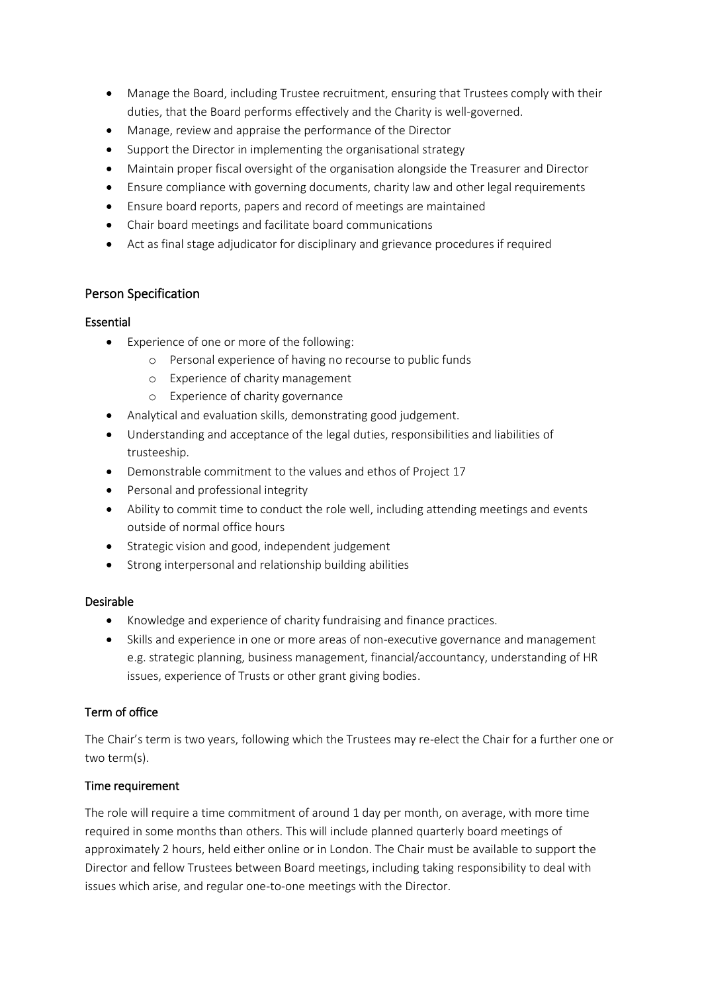- Manage the Board, including Trustee recruitment, ensuring that Trustees comply with their duties, that the Board performs effectively and the Charity is well-governed.
- Manage, review and appraise the performance of the Director
- Support the Director in implementing the organisational strategy
- Maintain proper fiscal oversight of the organisation alongside the Treasurer and Director
- Ensure compliance with governing documents, charity law and other legal requirements
- Ensure board reports, papers and record of meetings are maintained
- Chair board meetings and facilitate board communications
- Act as final stage adjudicator for disciplinary and grievance procedures if required

## Person Specification

### Essential

- Experience of one or more of the following:
	- o Personal experience of having no recourse to public funds
	- o Experience of charity management
	- o Experience of charity governance
- Analytical and evaluation skills, demonstrating good judgement.
- Understanding and acceptance of the legal duties, responsibilities and liabilities of trusteeship.
- Demonstrable commitment to the values and ethos of Project 17
- Personal and professional integrity
- Ability to commit time to conduct the role well, including attending meetings and events outside of normal office hours
- Strategic vision and good, independent judgement
- Strong interpersonal and relationship building abilities

### Desirable

- Knowledge and experience of charity fundraising and finance practices.
- Skills and experience in one or more areas of non-executive governance and management e.g. strategic planning, business management, financial/accountancy, understanding of HR issues, experience of Trusts or other grant giving bodies.

### Term of office

The Chair's term is two years, following which the Trustees may re-elect the Chair for a further one or two term(s).

### Time requirement

The role will require a time commitment of around 1 day per month, on average, with more time required in some months than others. This will include planned quarterly board meetings of approximately 2 hours, held either online or in London. The Chair must be available to support the Director and fellow Trustees between Board meetings, including taking responsibility to deal with issues which arise, and regular one-to-one meetings with the Director.